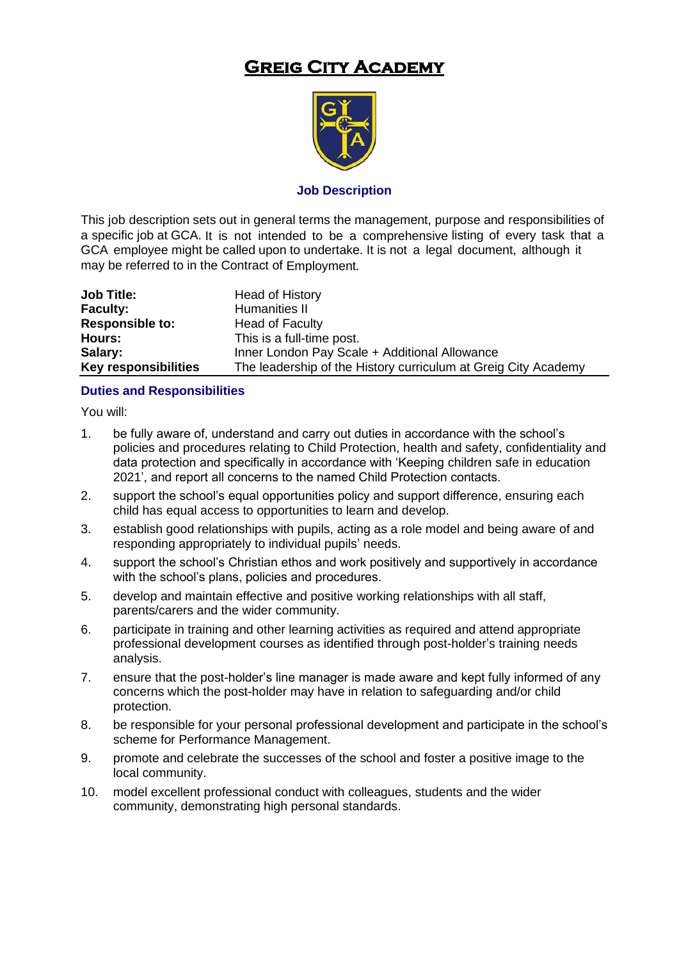# **Greig City Academy**



#### **Job Description**

This job description sets out in general terms the management, purpose and responsibilities of a specific job at GCA. It is not intended to be a comprehensive listing of every task that a GCA employee might be called upon to undertake. It is not a legal document, although it may be referred to in the Contract of Employment.

| <b>Job Title:</b>           | Head of History                                                |
|-----------------------------|----------------------------------------------------------------|
| <b>Faculty:</b>             | Humanities II                                                  |
| <b>Responsible to:</b>      | <b>Head of Faculty</b>                                         |
| Hours:                      | This is a full-time post.                                      |
| Salary:                     | Inner London Pay Scale + Additional Allowance                  |
| <b>Key responsibilities</b> | The leadership of the History curriculum at Greig City Academy |

#### **Duties and Responsibilities**

You will:

- 1. be fully aware of, understand and carry out duties in accordance with the school's policies and procedures relating to Child Protection, health and safety, confidentiality and data protection and specifically in accordance with 'Keeping children safe in education 2021', and report all concerns to the named Child Protection contacts.
- 2. support the school's equal opportunities policy and support difference, ensuring each child has equal access to opportunities to learn and develop.
- 3. establish good relationships with pupils, acting as a role model and being aware of and responding appropriately to individual pupils' needs.
- 4. support the school's Christian ethos and work positively and supportively in accordance with the school's plans, policies and procedures.
- 5. develop and maintain effective and positive working relationships with all staff, parents/carers and the wider community.
- 6. participate in training and other learning activities as required and attend appropriate professional development courses as identified through post-holder's training needs analysis.
- 7. ensure that the post-holder's line manager is made aware and kept fully informed of any concerns which the post-holder may have in relation to safeguarding and/or child protection.
- 8. be responsible for your personal professional development and participate in the school's scheme for Performance Management.
- 9. promote and celebrate the successes of the school and foster a positive image to the local community.
- 10. model excellent professional conduct with colleagues, students and the wider community, demonstrating high personal standards.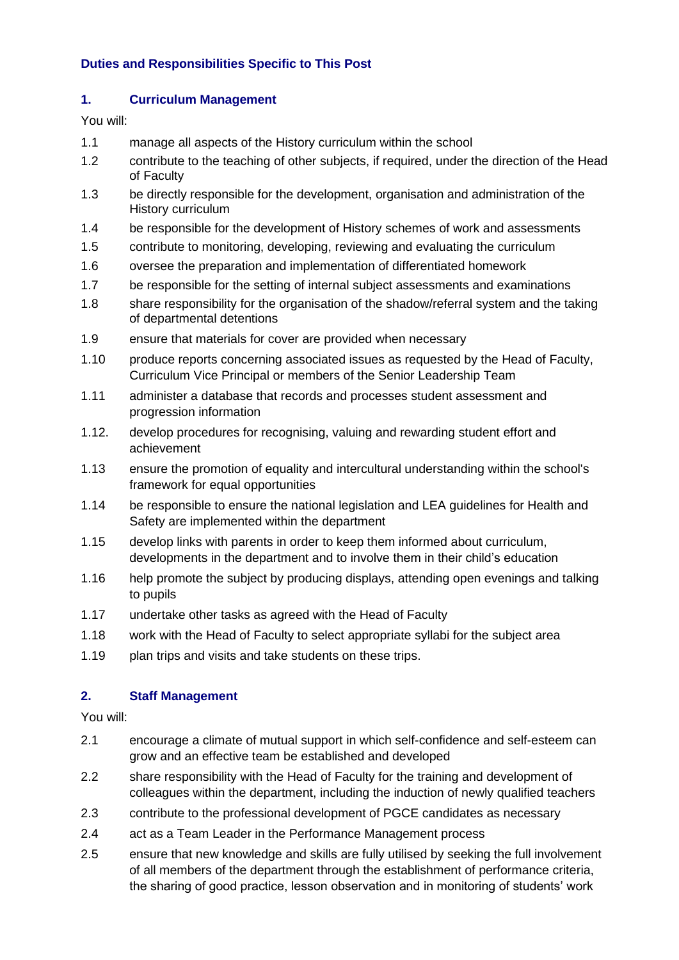## **Duties and Responsibilities Specific to This Post**

#### **1. Curriculum Management**

You will:

- 1.1 manage all aspects of the History curriculum within the school
- 1.2 contribute to the teaching of other subjects, if required, under the direction of the Head of Faculty
- 1.3 be directly responsible for the development, organisation and administration of the History curriculum
- 1.4 be responsible for the development of History schemes of work and assessments
- 1.5 contribute to monitoring, developing, reviewing and evaluating the curriculum
- 1.6 oversee the preparation and implementation of differentiated homework
- 1.7 be responsible for the setting of internal subject assessments and examinations
- 1.8 share responsibility for the organisation of the shadow/referral system and the taking of departmental detentions
- 1.9 ensure that materials for cover are provided when necessary
- 1.10 produce reports concerning associated issues as requested by the Head of Faculty, Curriculum Vice Principal or members of the Senior Leadership Team
- 1.11 administer a database that records and processes student assessment and progression information
- 1.12. develop procedures for recognising, valuing and rewarding student effort and achievement
- 1.13 ensure the promotion of equality and intercultural understanding within the school's framework for equal opportunities
- 1.14 be responsible to ensure the national legislation and LEA guidelines for Health and Safety are implemented within the department
- 1.15 develop links with parents in order to keep them informed about curriculum, developments in the department and to involve them in their child's education
- 1.16 help promote the subject by producing displays, attending open evenings and talking to pupils
- 1.17 undertake other tasks as agreed with the Head of Faculty
- 1.18 work with the Head of Faculty to select appropriate syllabi for the subject area
- 1.19 plan trips and visits and take students on these trips.

## **2. Staff Management**

You will:

- 2.1 encourage a climate of mutual support in which self-confidence and self-esteem can grow and an effective team be established and developed
- 2.2 share responsibility with the Head of Faculty for the training and development of colleagues within the department, including the induction of newly qualified teachers
- 2.3 contribute to the professional development of PGCE candidates as necessary
- 2.4 act as a Team Leader in the Performance Management process
- 2.5 ensure that new knowledge and skills are fully utilised by seeking the full involvement of all members of the department through the establishment of performance criteria, the sharing of good practice, lesson observation and in monitoring of students' work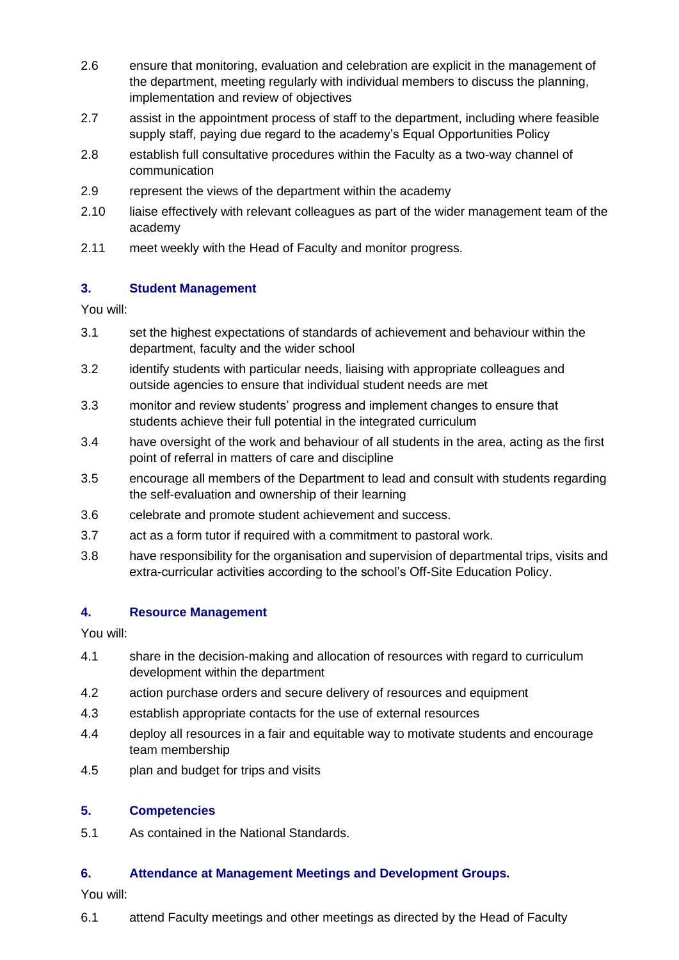- 2.6 ensure that monitoring, evaluation and celebration are explicit in the management of the department, meeting regularly with individual members to discuss the planning, implementation and review of objectives
- 2.7 assist in the appointment process of staff to the department, including where feasible supply staff, paying due regard to the academy's Equal Opportunities Policy
- 2.8 establish full consultative procedures within the Faculty as a two-way channel of communication
- 2.9 represent the views of the department within the academy
- 2.10 liaise effectively with relevant colleagues as part of the wider management team of the academy
- 2.11 meet weekly with the Head of Faculty and monitor progress.

## **3. Student Management**

You will:

- 3.1 set the highest expectations of standards of achievement and behaviour within the department, faculty and the wider school
- 3.2 identify students with particular needs, liaising with appropriate colleagues and outside agencies to ensure that individual student needs are met
- 3.3 monitor and review students' progress and implement changes to ensure that students achieve their full potential in the integrated curriculum
- 3.4 have oversight of the work and behaviour of all students in the area, acting as the first point of referral in matters of care and discipline
- 3.5 encourage all members of the Department to lead and consult with students regarding the self-evaluation and ownership of their learning
- 3.6 celebrate and promote student achievement and success.
- 3.7 act as a form tutor if required with a commitment to pastoral work.
- 3.8 have responsibility for the organisation and supervision of departmental trips, visits and extra-curricular activities according to the school's Off-Site Education Policy.

## **4. Resource Management**

You will:

- 4.1 share in the decision-making and allocation of resources with regard to curriculum development within the department
- 4.2 action purchase orders and secure delivery of resources and equipment
- 4.3 establish appropriate contacts for the use of external resources
- 4.4 deploy all resources in a fair and equitable way to motivate students and encourage team membership
- 4.5 plan and budget for trips and visits

#### **5. Competencies**

5.1 As contained in the National Standards.

## **6. Attendance at Management Meetings and Development Groups.**

You will:

6.1 attend Faculty meetings and other meetings as directed by the Head of Faculty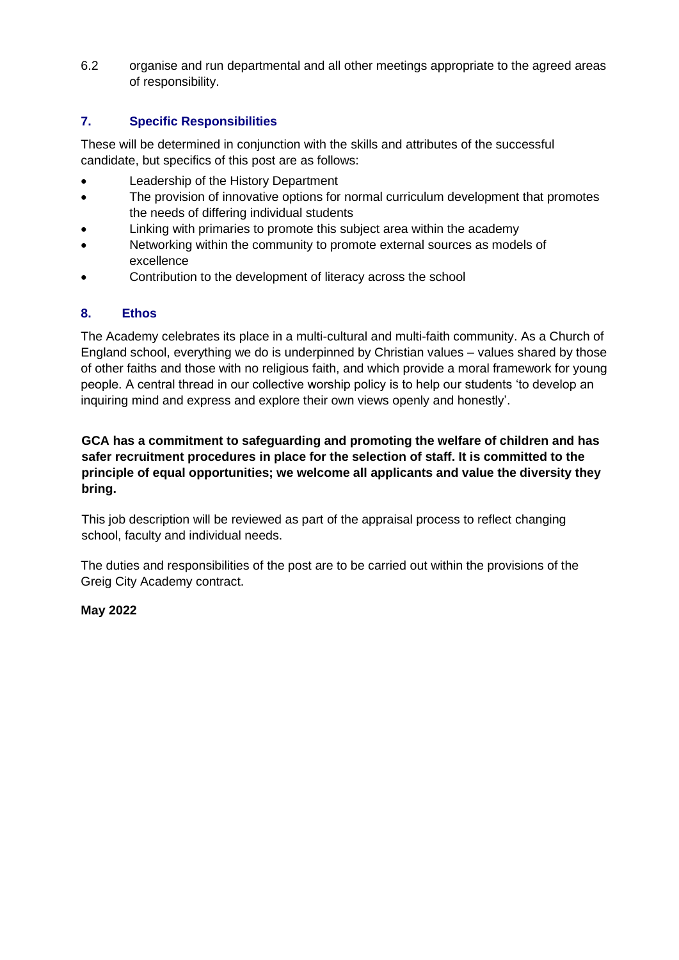6.2 organise and run departmental and all other meetings appropriate to the agreed areas of responsibility.

## **7. Specific Responsibilities**

These will be determined in conjunction with the skills and attributes of the successful candidate, but specifics of this post are as follows:

- Leadership of the History Department
- The provision of innovative options for normal curriculum development that promotes the needs of differing individual students
- Linking with primaries to promote this subject area within the academy
- Networking within the community to promote external sources as models of excellence
- Contribution to the development of literacy across the school

## **8. Ethos**

The Academy celebrates its place in a multi-cultural and multi-faith community. As a Church of England school, everything we do is underpinned by Christian values – values shared by those of other faiths and those with no religious faith, and which provide a moral framework for young people. A central thread in our collective worship policy is to help our students 'to develop an inquiring mind and express and explore their own views openly and honestly'.

### **GCA has a commitment to safeguarding and promoting the welfare of children and has safer recruitment procedures in place for the selection of staff. It is committed to the principle of equal opportunities; we welcome all applicants and value the diversity they bring.**

This job description will be reviewed as part of the appraisal process to reflect changing school, faculty and individual needs.

The duties and responsibilities of the post are to be carried out within the provisions of the Greig City Academy contract.

## **May 2022**